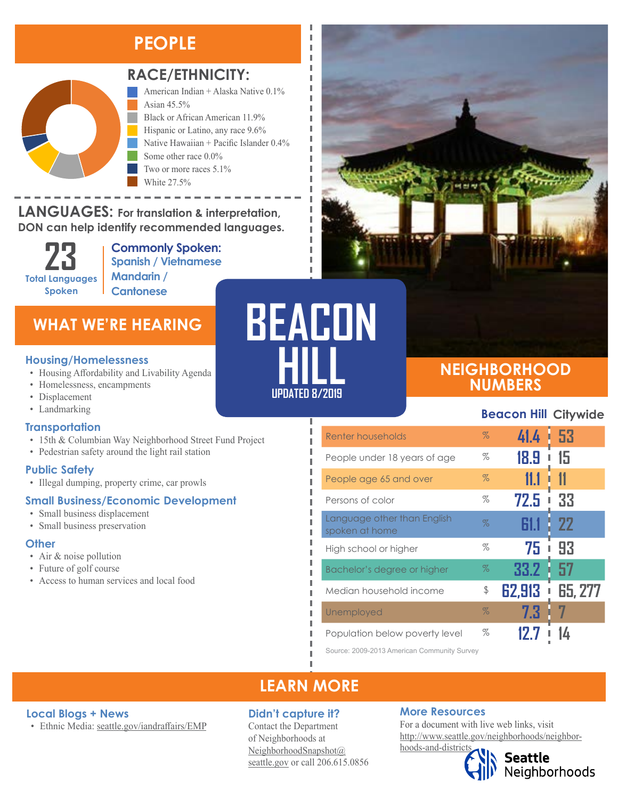### **PEOPLE**



#### **RACE/ETHNICITY:**

American Indian + Alaska Native 0.1% Asian 45.5% Black or African American 11.9%

Hispanic or Latino, any race 9.6% Native Hawaiian + Pacific Islander 0.4% Some other race 0.0% Two or more races 5.1% White 27.5%

#### **LANGUAGES: For translation & interpretation, DON can help identify recommended languages. TEAN SUAL**

**23 Total Languages Spoken**

Black or African American Hispanic or Latino, any race

**Commonly Spoken: Spanish / Vietnamese Mandarin / Cantonese**

### **WHAT WE'RE HEARING**

- Housing Affordability and Livability Agenda
- Homelessness, encampments
- Displacement
- Landmarking

#### **Transportation**

- 15th & Columbian Way Neighborhood Street Fund Project
- Pedestrian safety around the light rail station

#### **Public Safety**

• Illegal dumping, property crime, car prowls

#### **Small Business/Economic Development**

- Small business displacement
- Small business preservation

#### **Other**

- Air & noise pollution
- Future of golf course
- Access to human services and local food

# **UPDATED 8/2019 BEACON Housing/Homelessness**<br>
• Housing Affordability and Livability Agenda<br>
• Homelessness, encampments

I Л л

Л П I

#### **NEIGHBORHOOD NUMBERS**

#### **Beacon Hill Citywide**

| Renter households                             | $\%$ | 41.4   | 53             |
|-----------------------------------------------|------|--------|----------------|
| People under 18 years of age                  | %    | 18.9   | 15             |
| People age 65 and over                        | $\%$ | 11.1   |                |
| Persons of color                              | %    | 72.5   | 33             |
| Language other than English<br>spoken at home | %    |        | 22             |
| High school or higher                         | %    | 75     | 93             |
| Bachelor's degree or higher                   | $\%$ | 33.2   | 57             |
| Median household income                       | \$   | 62,913 | <b>65, 277</b> |
| Unemployed                                    | $\%$ | 7.3    |                |
| Population below poverty level                | %    |        |                |

Source: 2009-2013 American Community Survey

### **LEARN MORE**

#### **Local Blogs + News**

• Ethnic Media: [seattle.gov/iandraffairs/EMP](http://www.seattle.gov/iandraffairs/EMP)

#### **Didn't capture it?**

Contact the Department of Neighborhoods at [NeighborhoodSnapshot@](mailto:NeighborhoodSnapshot%40%0Aseattle.gov?subject=) [seattle.gov](mailto:NeighborhoodSnapshot%40%0Aseattle.gov?subject=) or call 206.615.0856

#### **More Resources**

For a document with live web links, visit [http://www.seattle.gov/neighborhoods/neighbor](http://www.seattle.gov/neighborhoods/neighborhoods-and-districts)[hoods-and-districts](http://www.seattle.gov/neighborhoods/neighborhoods-and-districts)



**Seattle**<br>Neighborhoods